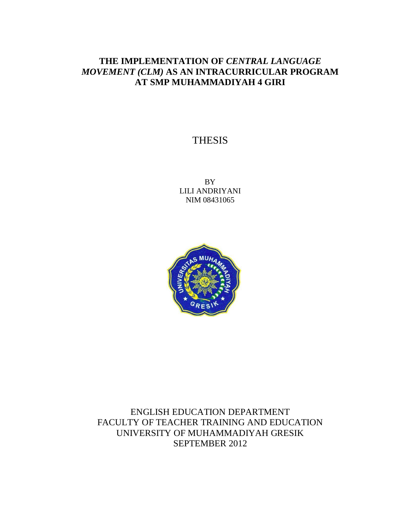# **THE IMPLEMENTATION OF** *CENTRAL LANGUAGE MOVEMENT (CLM)* **AS AN INTRACURRICULAR PROGRAM AT SMP MUHAMMADIYAH 4 GIRI**

# THESIS

BY LILI ANDRIYANI NIM 08431065



ENGLISH EDUCATION DEPARTMENT FACULTY OF TEACHER TRAINING AND EDUCATION UNIVERSITY OF MUHAMMADIYAH GRESIK SEPTEMBER 2012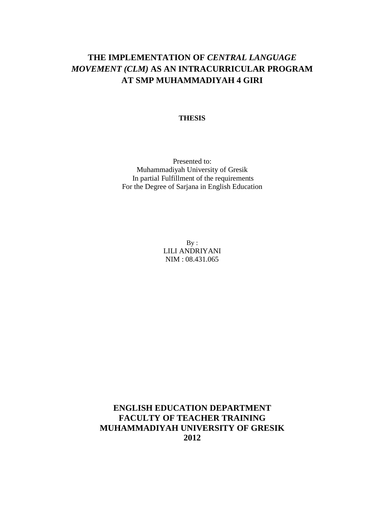# **THE IMPLEMENTATION OF** *CENTRAL LANGUAGE MOVEMENT (CLM)* **AS AN INTRACURRICULAR PROGRAM AT SMP MUHAMMADIYAH 4 GIRI**

### **THESIS**

Presented to: Muhammadiyah University of Gresik In partial Fulfillment of the requirements For the Degree of Sarjana in English Education

> $By:$ LILI ANDRIYANI NIM : 08.431.065

**ENGLISH EDUCATION DEPARTMENT FACULTY OF TEACHER TRAINING MUHAMMADIYAH UNIVERSITY OF GRESIK 2012**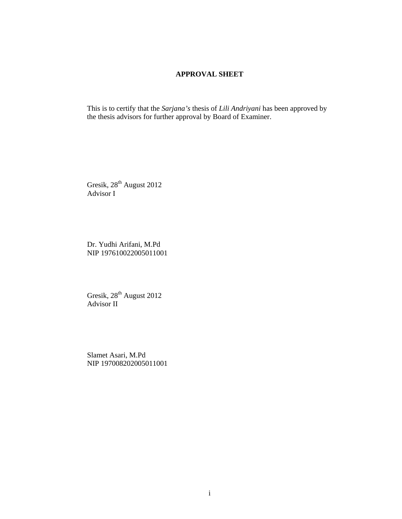### **APPROVAL SHEET**

This is to certify that the *Sarjana's* thesis of *Lili Andriyani* has been approved by the thesis advisors for further approval by Board of Examiner.

Gresik, 28<sup>th</sup> August 2012 Advisor I

Dr. Yudhi Arifani, M.Pd NIP 197610022005011001

Gresik, 28<sup>th</sup> August 2012 Advisor II

Slamet Asari, M.Pd NIP 197008202005011001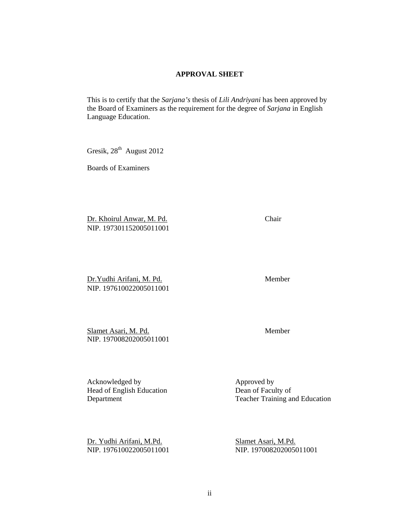### **APPROVAL SHEET**

This is to certify that the *Sarjana's* thesis of *Lili Andriyani* has been approved by the Board of Examiners as the requirement for the degree of *Sarjana* in English Language Education.

Gresik, 28<sup>th</sup> August 2012

Boards of Examiners

Dr. Khoirul Anwar, M. Pd. Chair NIP. 197301152005011001

Dr.Yudhi Arifani, M. Pd. Member NIP. 197610022005011001

Slamet Asari, M. Pd. Member NIP. 197008202005011001

Acknowledged by Approved by Approved by Head of English Education Dean of Faculty of

Dr. Yudhi Arifani, M.Pd. Slamet Asari, M.Pd.

Department Teacher Training and Education

NIP. 197610022005011001 NIP. 197008202005011001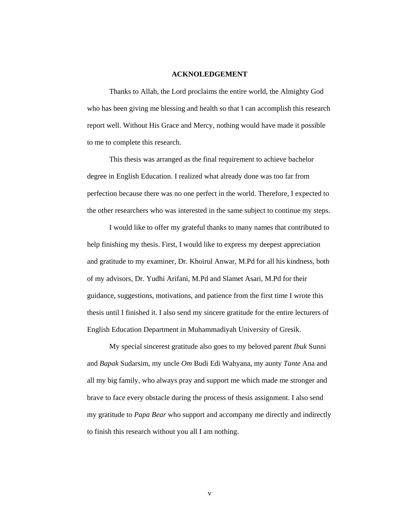#### **ACKNOLEDGEMENT**

Thanks to Allah, the Lord proclaims the entire world, the Almighty God who has been giving me blessing and health so that I can accomplish this research report well. Without His Grace and Mercy, nothing would have made it possible to me to complete this research.

This thesis was arranged as the final requirement to achieve bachelor degree in English Education. I realized what already done was too far from perfection because there was no one perfect in the world. Therefore, I expected to the other researchers who was interested in the same subject to continue my steps.

I would like to offer my grateful thanks to many names that contributed to help finishing my thesis. First, I would like to express my deepest appreciation and gratitude to my examiner, Dr. Khoirul Anwar, M.Pd for all his kindness, both of my advisors, Dr. Yudhi Arifani, M.Pd and Slamet Asari, M.Pd for their guidance, suggestions, motivations, and patience from the first time I wrote this thesis until I finished it. I also send my sincere gratitude for the entire lecturers of English Education Department in Muhammadiyah University of Gresik.

My special sincerest gratitude also goes to my beloved parent *Ibuk* Sunni and *Bapak* Sudarsim, my uncle *Om* Budi Edi Wahyana, my aunty *Tante* Ana and all my big family, who always pray and support me which made me stronger and brave to face every obstacle during the process of thesis assignment. I also send my gratitude to *Papa Bear* who support and accompany me directly and indirectly to finish this research without you all I am nothing.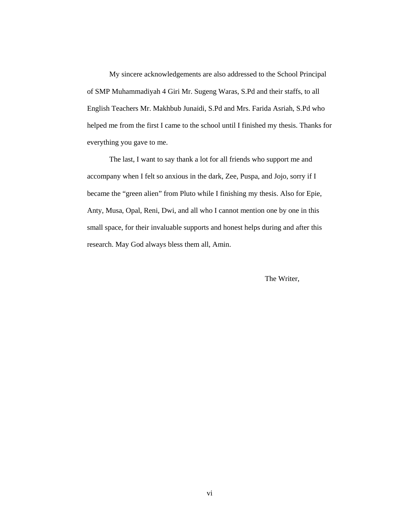My sincere acknowledgements are also addressed to the School Principal of SMP Muhammadiyah 4 Giri Mr. Sugeng Waras, S.Pd and their staffs, to all English Teachers Mr. Makhbub Junaidi, S.Pd and Mrs. Farida Asriah, S.Pd who helped me from the first I came to the school until I finished my thesis. Thanks for everything you gave to me.

The last, I want to say thank a lot for all friends who support me and accompany when I felt so anxious in the dark, Zee, Puspa, and Jojo, sorry if I became the "green alien" from Pluto while I finishing my thesis. Also for Epie, Anty, Musa, Opal, Reni, Dwi, and all who I cannot mention one by one in this small space, for their invaluable supports and honest helps during and after this research. May God always bless them all, Amin.

The Writer,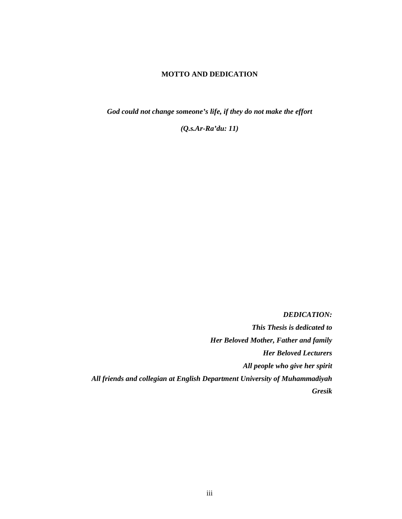### **MOTTO AND DEDICATION**

*God could not change someone's life, if they do not make the effort* 

*(Q.s.Ar-Ra'du: 11)* 

*DEDICATION:* 

*This Thesis is dedicated to Her Beloved Mother, Father and family Her Beloved Lecturers All people who give her spirit All friends and collegian at English Department University of Muhammadiyah Gresik*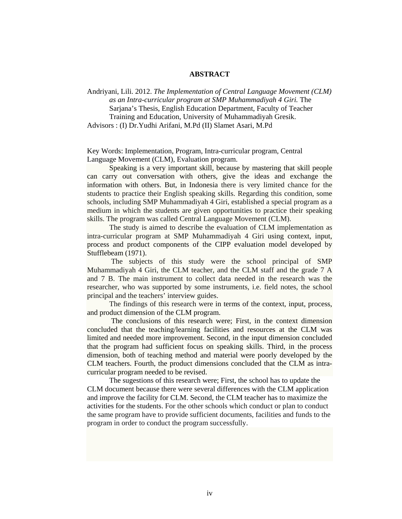#### **ABSTRACT**

Andriyani, Lili. 2012. *The Implementation of Central Language Movement (CLM) as an Intra-curricular program at SMP Muhammadiyah 4 Giri.* The Sarjana's Thesis, English Education Department, Faculty of Teacher Training and Education, University of Muhammadiyah Gresik. Advisors : (I) Dr.Yudhi Arifani, M.Pd (II) Slamet Asari, M.Pd

Key Words: Implementation, Program, Intra-curricular program, Central Language Movement (CLM), Evaluation program.

Speaking is a very important skill, because by mastering that skill people can carry out conversation with others, give the ideas and exchange the information with others. But, in Indonesia there is very limited chance for the students to practice their English speaking skills. Regarding this condition, some schools, including SMP Muhammadiyah 4 Giri, established a special program as a medium in which the students are given opportunities to practice their speaking skills. The program was called Central Language Movement (CLM).

 The study is aimed to describe the evaluation of CLM implementation as intra-curricular program at SMP Muhammadiyah 4 Giri using context, input, process and product components of the CIPP evaluation model developed by Stufflebeam (1971).

 The subjects of this study were the school principal of SMP Muhammadiyah 4 Giri, the CLM teacher, and the CLM staff and the grade 7 A and 7 B. The main instrument to collect data needed in the research was the researcher, who was supported by some instruments, i.e. field notes, the school principal and the teachers' interview guides.

The findings of this research were in terms of the context, input, process, and product dimension of the CLM program.

 The conclusions of this research were; First, in the context dimension concluded that the teaching/learning facilities and resources at the CLM was limited and needed more improvement. Second, in the input dimension concluded that the program had sufficient focus on speaking skills. Third, in the process dimension, both of teaching method and material were poorly developed by the CLM teachers. Fourth, the product dimensions concluded that the CLM as intracurricular program needed to be revised.

 The sugestions of this research were; First, the school has to update the CLM document because there were several differences with the CLM application and improve the facility for CLM. Second, the CLM teacher has to maximize the activities for the students. For the other schools which conduct or plan to conduct the same program have to provide sufficient documents, facilities and funds to the program in order to conduct the program successfully.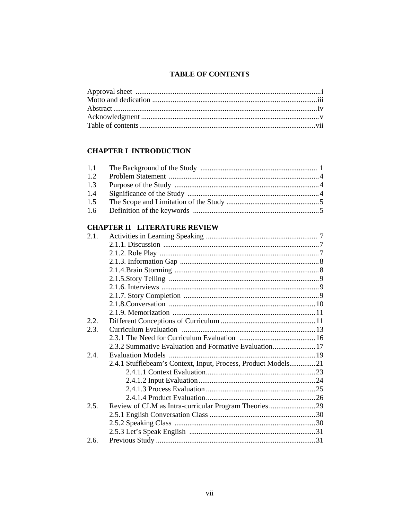# **TABLE OF CONTENTS**

# **CHAPTER I INTRODUCTION**

| 1.2 |  |
|-----|--|
| 1.3 |  |
| 1.4 |  |
| 1.5 |  |
| 1.6 |  |
|     |  |

## **CHAPTER II LITERATURE REVIEW**

| 2.3.2 Summative Evaluation and Formative Evaluation 17        |                                                      |
|---------------------------------------------------------------|------------------------------------------------------|
|                                                               |                                                      |
| 2.4.1 Stufflebeam's Context, Input, Process, Product Models21 |                                                      |
|                                                               |                                                      |
|                                                               |                                                      |
|                                                               |                                                      |
|                                                               |                                                      |
|                                                               |                                                      |
|                                                               |                                                      |
|                                                               |                                                      |
|                                                               |                                                      |
|                                                               |                                                      |
|                                                               | Review of CLM as Intra-curricular Program Theories29 |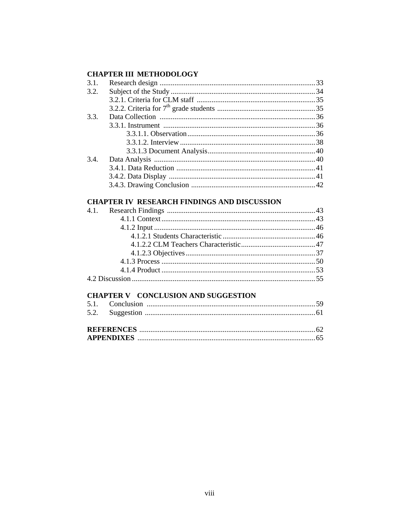# **CHAPTER III METHODOLOGY**

| 3.1. |  |
|------|--|
| 3.2. |  |
|      |  |
|      |  |
| 3.3. |  |
|      |  |
|      |  |
|      |  |
|      |  |
| 3.4. |  |
|      |  |
|      |  |
|      |  |
|      |  |

### **CHAPTER IV RESEARCH FINDINGS AND DISCUSSION**

### **CHAPTER V CONCLUSION AND SUGGESTION**